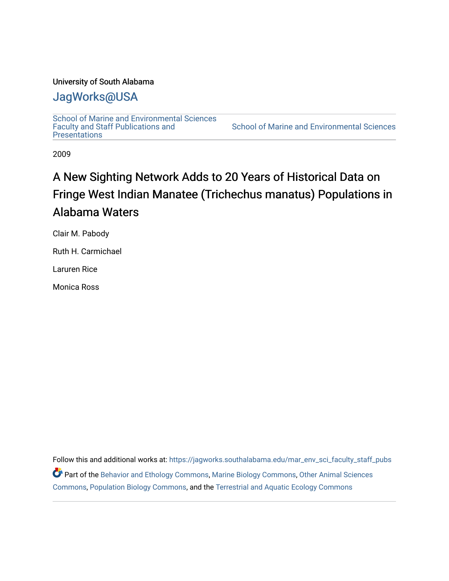## University of South Alabama

# [JagWorks@USA](https://jagworks.southalabama.edu/)

[School of Marine and Environmental Sciences](https://jagworks.southalabama.edu/mar_env_sci_faculty_staff_pubs)  [Faculty and Staff Publications and](https://jagworks.southalabama.edu/mar_env_sci_faculty_staff_pubs)  **Presentations** 

[School of Marine and Environmental Sciences](https://jagworks.southalabama.edu/mar_env_sci) 

2009

# A New Sighting Network Adds to 20 Years of Historical Data on Fringe West Indian Manatee (Trichechus manatus) Populations in Alabama Waters

Clair M. Pabody

Ruth H. Carmichael

Laruren Rice

Monica Ross

Follow this and additional works at: [https://jagworks.southalabama.edu/mar\\_env\\_sci\\_faculty\\_staff\\_pubs](https://jagworks.southalabama.edu/mar_env_sci_faculty_staff_pubs?utm_source=jagworks.southalabama.edu%2Fmar_env_sci_faculty_staff_pubs%2F20&utm_medium=PDF&utm_campaign=PDFCoverPages) Part of the [Behavior and Ethology Commons,](https://network.bepress.com/hgg/discipline/15?utm_source=jagworks.southalabama.edu%2Fmar_env_sci_faculty_staff_pubs%2F20&utm_medium=PDF&utm_campaign=PDFCoverPages) [Marine Biology Commons,](https://network.bepress.com/hgg/discipline/1126?utm_source=jagworks.southalabama.edu%2Fmar_env_sci_faculty_staff_pubs%2F20&utm_medium=PDF&utm_campaign=PDFCoverPages) [Other Animal Sciences](https://network.bepress.com/hgg/discipline/82?utm_source=jagworks.southalabama.edu%2Fmar_env_sci_faculty_staff_pubs%2F20&utm_medium=PDF&utm_campaign=PDFCoverPages)  [Commons](https://network.bepress.com/hgg/discipline/82?utm_source=jagworks.southalabama.edu%2Fmar_env_sci_faculty_staff_pubs%2F20&utm_medium=PDF&utm_campaign=PDFCoverPages), [Population Biology Commons](https://network.bepress.com/hgg/discipline/19?utm_source=jagworks.southalabama.edu%2Fmar_env_sci_faculty_staff_pubs%2F20&utm_medium=PDF&utm_campaign=PDFCoverPages), and the [Terrestrial and Aquatic Ecology Commons](https://network.bepress.com/hgg/discipline/20?utm_source=jagworks.southalabama.edu%2Fmar_env_sci_faculty_staff_pubs%2F20&utm_medium=PDF&utm_campaign=PDFCoverPages)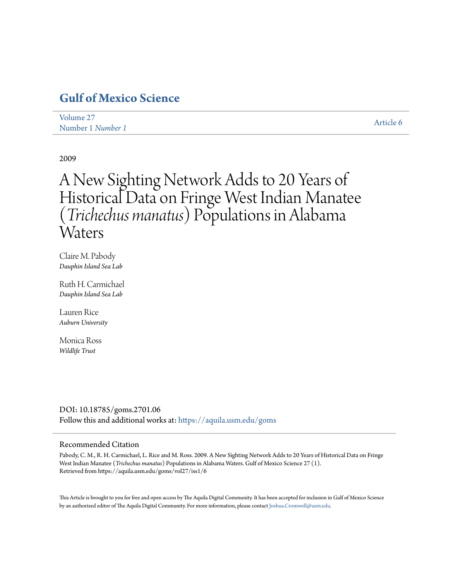# **[Gulf of Mexico Science](https://aquila.usm.edu/goms?utm_source=aquila.usm.edu%2Fgoms%2Fvol27%2Fiss1%2F6&utm_medium=PDF&utm_campaign=PDFCoverPages)**

| Volume 27         | Article 6 |
|-------------------|-----------|
| Number 1 Number 1 |           |

2009

# A New Sighting Network Adds to 20 Years of Historical Data on Fringe West Indian Manatee (*Trichechus manatus*) Populations in Alabama Waters

Claire M. Pabody *Dauphin Island Sea Lab*

Ruth H. Carmichael *Dauphin Island Sea Lab*

Lauren Rice *Auburn University*

Monica Ross *Wildlife Trust*

DOI: 10.18785/goms.2701.06 Follow this and additional works at: [https://aquila.usm.edu/goms](https://aquila.usm.edu/goms?utm_source=aquila.usm.edu%2Fgoms%2Fvol27%2Fiss1%2F6&utm_medium=PDF&utm_campaign=PDFCoverPages)

### Recommended Citation

Pabody, C. M., R. H. Carmichael, L. Rice and M. Ross. 2009. A New Sighting Network Adds to 20 Years of Historical Data on Fringe West Indian Manatee (*Trichechus manatus*) Populations in Alabama Waters. Gulf of Mexico Science 27 (1). Retrieved from https://aquila.usm.edu/goms/vol27/iss1/6

This Article is brought to you for free and open access by The Aquila Digital Community. It has been accepted for inclusion in Gulf of Mexico Science by an authorized editor of The Aquila Digital Community. For more information, please contact [Joshua.Cromwell@usm.edu](mailto:Joshua.Cromwell@usm.edu).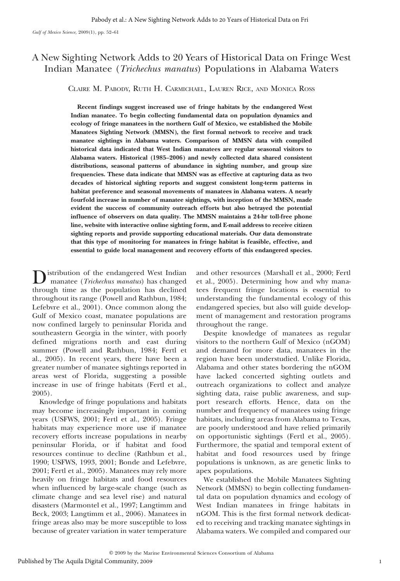## A New Sighting Network Adds to 20 Years of Historical Data on Fringe West Indian Manatee (Trichechus manatus) Populations in Alabama Waters

CLAIRE M. PABODY, RUTH H. CARMICHAEL, LAUREN RICE, AND MONICA ROSS

Recent findings suggest increased use of fringe habitats by the endangered West Indian manatee. To begin collecting fundamental data on population dynamics and ecology of fringe manatees in the northern Gulf of Mexico, we established the Mobile Manatees Sighting Network (MMSN), the first formal network to receive and track manatee sightings in Alabama waters. Comparison of MMSN data with compiled historical data indicated that West Indian manatees are regular seasonal visitors to Alabama waters. Historical (1985–2006) and newly collected data shared consistent distributions, seasonal patterns of abundance in sighting number, and group size frequencies. These data indicate that MMSN was as effective at capturing data as two decades of historical sighting reports and suggest consistent long-term patterns in habitat preference and seasonal movements of manatees in Alabama waters. A nearly fourfold increase in number of manatee sightings, with inception of the MMSN, made evident the success of community outreach efforts but also betrayed the potential influence of observers on data quality. The MMSN maintains a 24-hr toll-free phone line, website with interactive online sighting form, and E-mail address to receive citizen sighting reports and provide supporting educational materials. Our data demonstrate that this type of monitoring for manatees in fringe habitat is feasible, effective, and essential to guide local management and recovery efforts of this endangered species.

istribution of the endangered West Indian manatee (Trichechus manatus) has changed through time as the population has declined throughout its range (Powell and Rathbun, 1984; Lefebvre et al., 2001). Once common along the Gulf of Mexico coast, manatee populations are now confined largely to peninsular Florida and southeastern Georgia in the winter, with poorly defined migrations north and east during summer (Powell and Rathbun, 1984; Fertl et al., 2005). In recent years, there have been a greater number of manatee sightings reported in areas west of Florida, suggesting a possible increase in use of fringe habitats (Fertl et al., 2005).

Knowledge of fringe populations and habitats may become increasingly important in coming years (USFWS, 2001; Fertl et al., 2005). Fringe habitats may experience more use if manatee recovery efforts increase populations in nearby peninsular Florida, or if habitat and food resources continue to decline (Rathbun et al., 1990; USFWS, 1993, 2001; Bonde and Lefebvre, 2001; Fertl et al., 2005). Manatees may rely more heavily on fringe habitats and food resources when influenced by large-scale change (such as climate change and sea level rise) and natural disasters (Marmontel et al., 1997; Langtimm and Beck, 2003; Langtimm et al., 2006). Manatees in fringe areas also may be more susceptible to loss because of greater variation in water temperature

and other resources (Marshall et al., 2000; Fertl et al., 2005). Determining how and why manatees frequent fringe locations is essential to understanding the fundamental ecology of this endangered species, but also will guide development of management and restoration programs throughout the range.

Despite knowledge of manatees as regular visitors to the northern Gulf of Mexico (nGOM) and demand for more data, manatees in the region have been understudied. Unlike Florida, Alabama and other states bordering the nGOM have lacked concerted sighting outlets and outreach organizations to collect and analyze sighting data, raise public awareness, and support research efforts. Hence, data on the number and frequency of manatees using fringe habitats, including areas from Alabama to Texas, are poorly understood and have relied primarily on opportunistic sightings (Fertl et al., 2005). Furthermore, the spatial and temporal extent of habitat and food resources used by fringe populations is unknown, as are genetic links to apex populations.

We established the Mobile Manatees Sighting Network (MMSN) to begin collecting fundamental data on population dynamics and ecology of West Indian manatees in fringe habitats in nGOM. This is the first formal network dedicated to receiving and tracking manatee sightings in Alabama waters. We compiled and compared our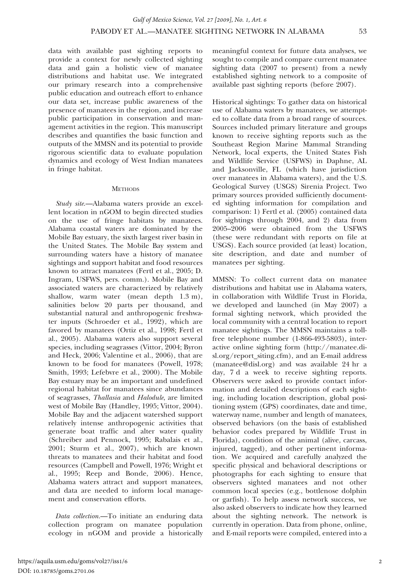data with available past sighting reports to provide a context for newly collected sighting data and gain a holistic view of manatee distributions and habitat use. We integrated our primary research into a comprehensive public education and outreach effort to enhance our data set, increase public awareness of the presence of manatees in the region, and increase public participation in conservation and management activities in the region. This manuscript describes and quantifies the basic function and outputs of the MMSN and its potential to provide rigorous scientific data to evaluate population dynamics and ecology of West Indian manatees in fringe habitat.

#### **METHODS**

Study site.—Alabama waters provide an excellent location in nGOM to begin directed studies on the use of fringe habitats by manatees. Alabama coastal waters are dominated by the Mobile Bay estuary, the sixth largest river basin in the United States. The Mobile Bay system and surrounding waters have a history of manatee sightings and support habitat and food resources known to attract manatees (Fertl et al., 2005; D. Ingram, USFWS, pers. comm.). Mobile Bay and associated waters are characterized by relatively shallow, warm water (mean depth 1.3 m), salinities below 20 parts per thousand, and substantial natural and anthropogenic freshwater inputs (Schroeder et al., 1992), which are favored by manatees (Ortiz et al., 1998; Fertl et al., 2005). Alabama waters also support several species, including seagrasses (Vittor, 2004; Byron and Heck, 2006; Valentine et al., 2006), that are known to be food for manatees (Powell, 1978; Smith, 1993; Lefebvre et al., 2000). The Mobile Bay estuary may be an important and undefined regional habitat for manatees since abundances of seagrasses, Thallasia and Halodule, are limited west of Mobile Bay (Handley, 1995; Vittor, 2004). Mobile Bay and the adjacent watershed support relatively intense anthropogenic activities that generate boat traffic and alter water quality (Schreiber and Pennock, 1995; Rabalais et al., 2001; Sturm et al., 2007), which are known threats to manatees and their habitat and food resources (Campbell and Powell, 1976; Wright et al., 1995; Reep and Bonde, 2006). Hence, Alabama waters attract and support manatees, and data are needed to inform local management and conservation efforts.

Data collection.—To initiate an enduring data collection program on manatee population ecology in nGOM and provide a historically meaningful context for future data analyses, we sought to compile and compare current manatee sighting data (2007 to present) from a newly established sighting network to a composite of available past sighting reports (before 2007).

Historical sightings: To gather data on historical use of Alabama waters by manatees, we attempted to collate data from a broad range of sources. Sources included primary literature and groups known to receive sighting reports such as the Southeast Region Marine Mammal Stranding Network, local experts, the United States Fish and Wildlife Service (USFWS) in Daphne, AL and Jacksonville, FL (which have jurisdiction over manatees in Alabama waters), and the U.S. Geological Survey (USGS) Sirenia Project. Two primary sources provided sufficiently documented sighting information for compilation and comparison: 1) Fertl et al. (2005) contained data for sightings through 2004, and 2) data from 2005–2006 were obtained from the USFWS (these were redundant with reports on file at USGS). Each source provided (at least) location, site description, and date and number of manatees per sighting.

MMSN: To collect current data on manatee distributions and habitat use in Alabama waters, in collaboration with Wildlife Trust in Florida, we developed and launched (in May 2007) a formal sighting network, which provided the local community with a central location to report manatee sightings. The MMSN maintains a tollfree telephone number (1-866-493-5803), interactive online sighting form (http://manatee.disl.org/report\_siting.cfm), and an E-mail address (manatee@disl.org) and was available 24 hr a day, 7 d a week to receive sighting reports. Observers were asked to provide contact information and detailed descriptions of each sighting, including location description, global positioning system (GPS) coordinates, date and time, waterway name, number and length of manatees, observed behaviors (on the basis of established behavior codes prepared by Wildlife Trust in Florida), condition of the animal (alive, carcass, injured, tagged), and other pertinent information. We acquired and carefully analyzed the specific physical and behavioral descriptions or photographs for each sighting to ensure that observers sighted manatees and not other common local species (e.g., bottlenose dolphin or garfish). To help assess network success, we also asked observers to indicate how they learned about the sighting network. The network is currently in operation. Data from phone, online, and E-mail reports were compiled, entered into a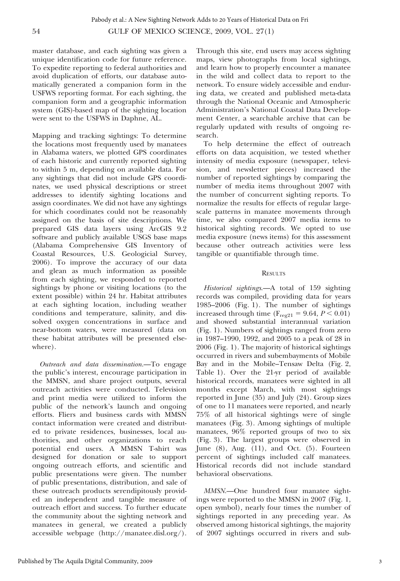master database, and each sighting was given a unique identification code for future reference. To expedite reporting to federal authorities and avoid duplication of efforts, our database automatically generated a companion form in the USFWS reporting format. For each sighting, the companion form and a geographic information system (GIS)-based map of the sighting location were sent to the USFWS in Daphne, AL.

Mapping and tracking sightings: To determine the locations most frequently used by manatees in Alabama waters, we plotted GPS coordinates of each historic and currently reported sighting to within 5 m, depending on available data. For any sightings that did not include GPS coordinates, we used physical descriptions or street addresses to identify sighting locations and assign coordinates. We did not have any sightings for which coordinates could not be reasonably assigned on the basis of site descriptions. We prepared GIS data layers using ArcGIS 9.2 software and publicly available USGS base maps (Alabama Comprehensive GIS Inventory of Coastal Resources, U.S. Geologicial Survey, 2006). To improve the accuracy of our data and glean as much information as possible from each sighting, we responded to reported sightings by phone or visiting locations (to the extent possible) within 24 hr. Habitat attributes at each sighting location, including weather conditions and temperature, salinity, and dissolved oxygen concentrations in surface and near-bottom waters, were measured (data on these habitat attributes will be presented elsewhere).

Outreach and data dissemination.—To engage the public's interest, encourage participation in the MMSN, and share project outputs, several outreach activities were conducted. Television and print media were utilized to inform the public of the network's launch and ongoing efforts. Fliers and business cards with MMSN contact information were created and distributed to private residences, businesses, local authorities, and other organizations to reach potential end users. A MMSN T-shirt was designed for donation or sale to support ongoing outreach efforts, and scientific and public presentations were given. The number of public presentations, distribution, and sale of these outreach products serendipitously provided an independent and tangible measure of outreach effort and success. To further educate the community about the sighting network and manatees in general, we created a publicly accessible webpage (http://manatee.disl.org/).

Through this site, end users may access sighting maps, view photographs from local sightings, and learn how to properly encounter a manatee in the wild and collect data to report to the network. To ensure widely accessible and enduring data, we created and published meta-data through the National Oceanic and Atmospheric Administration's National Coastal Data Development Center, a searchable archive that can be regularly updated with results of ongoing research.

To help determine the effect of outreach efforts on data acquisition, we tested whether intensity of media exposure (newspaper, television, and newsletter pieces) increased the number of reported sightings by comparing the number of media items throughout 2007 with the number of concurrent sighting reports. To normalize the results for effects of regular largescale patterns in manatee movements through time, we also compared 2007 media items to historical sighting records. We opted to use media exposure (news items) for this assessment because other outreach activities were less tangible or quantifiable through time.

#### **RESULTS**

Historical sightings.—A total of 159 sighting records was compiled, providing data for years 1985–2006 (Fig. 1). The number of sightings increased through time ( $F_{reg21} = 9.64, P < 0.01$ ) and showed substantial interannual variation (Fig. 1). Numbers of sightings ranged from zero in 1987–1990, 1992, and 2005 to a peak of 28 in 2006 (Fig. 1). The majority of historical sightings occurred in rivers and subembayments of Mobile Bay and in the Mobile–Tensaw Delta (Fig. 2, Table 1). Over the 21-yr period of available historical records, manatees were sighted in all months except March, with most sightings reported in June (35) and July (24). Group sizes of one to 11 manatees were reported, and nearly 75% of all historical sightings were of single manatees (Fig. 3). Among sightings of multiple manatees, 96% reported groups of two to six (Fig. 3). The largest groups were observed in June (8), Aug. (11), and Oct. (5). Fourteen percent of sightings included calf manatees. Historical records did not include standard behavioral observations.

MMSN.—One hundred four manatee sightings were reported to the MMSN in 2007 (Fig. 1, open symbol), nearly four times the number of sightings reported in any preceding year. As observed among historical sightings, the majority of 2007 sightings occurred in rivers and sub-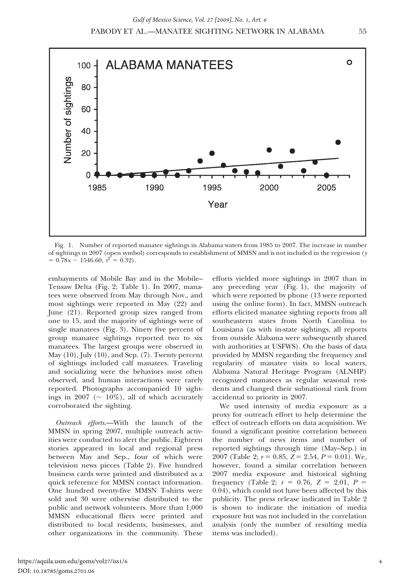

Fig. 1. Number of reported manatee sightings in Alabama waters from 1985 to 2007. The increase in number of sightings in 2007 (open symbol) corresponds to establishment of MMSN and is not included in the regression (y  $= 0.78x - 1546.60, r^2 = 0.32$ .

embayments of Mobile Bay and in the Mobile– Tensaw Delta (Fig. 2; Table 1). In 2007, manatees were observed from May through Nov., and most sightings were reported in May (22) and June (21). Reported group sizes ranged from one to 15, and the majority of sightings were of single manatees (Fig. 3). Ninety five percent of group manatee sightings reported two to six manatees. The largest groups were observed in May  $(10)$ , July  $(10)$ , and Sep.  $(7)$ . Twenty percent of sightings included calf manatees. Traveling and socializing were the behaviors most often observed, and human interactions were rarely reported. Photographs accompanied 10 sightings in 2007 ( $\sim 10\%$ ), all of which accurately corroborated the sighting.

Outreach efforts.—With the launch of the MMSN in spring 2007, multiple outreach activities were conducted to alert the public. Eighteen stories appeared in local and regional press between May and Sep., four of which were television news pieces (Table 2). Five hundred business cards were printed and distributed as a quick reference for MMSN contact information. One hundred twenty-five MMSN T-shirts were sold and 30 were otherwise distributed to the public and network volunteers. More than 1,000 MMSN educational fliers were printed and distributed to local residents, businesses, and other organizations in the community. These efforts yielded more sightings in 2007 than in any preceding year (Fig. 1), the majority of which were reported by phone (13 were reported using the online form). In fact, MMSN outreach efforts elicited manatee sighting reports from all southeastern states from North Carolina to Louisiana (as with in-state sightings, all reports from outside Alabama were subsequently shared with authorities at USFWS). On the basis of data provided by MMSN regarding the frequency and regularity of manatee visits to local waters, Alabama Natural Heritage Program (ALNHP) recognized manatees as regular seasonal residents and changed their subnational rank from accidental to priority in 2007.

We used intensity of media exposure as a proxy for outreach effort to help determine the effect of outreach efforts on data acquisition. We found a significant positive correlation between the number of news items and number of reported sightings through time (May–Sep.) in 2007 (Table 2;  $r = 0.85$ ,  $Z = 2.54$ ,  $P = 0.01$ ). We, however, found a similar correlation between 2007 media exposure and historical sighting frequency (Table 2;  $r = 0.76$ ,  $Z = 2.01$ ,  $P =$ 0.04), which could not have been affected by this publicity. The press release indicated in Table 2 is shown to indicate the initiation of media exposure but was not included in the correlation analysis (only the number of resulting media items was included).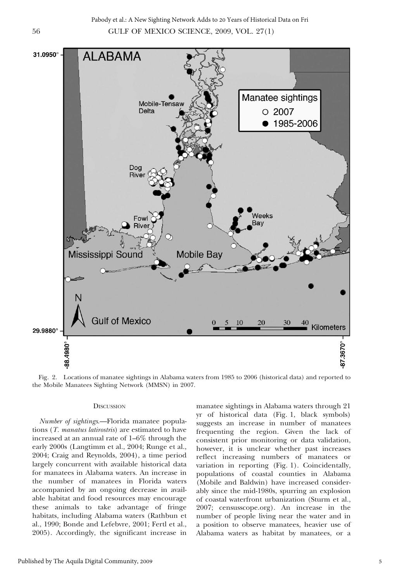56 GULF OF MEXICO SCIENCE, 2009, VOL. 27(1) Pabody et al.: A New Sighting Network Adds to 20 Years of Historical Data on Fri



Fig. 2. Locations of manatee sightings in Alabama waters from 1985 to 2006 (historical data) and reported to the Mobile Manatees Sighting Network (MMSN) in 2007.

#### **DISCUSSION**

Number of sightings.—Florida manatee populations (T. manatus latirostris) are estimated to have increased at an annual rate of 1–6% through the early 2000s (Langtimm et al., 2004; Runge et al., 2004; Craig and Reynolds, 2004), a time period largely concurrent with available historical data for manatees in Alabama waters. An increase in the number of manatees in Florida waters accompanied by an ongoing decrease in available habitat and food resources may encourage these animals to take advantage of fringe habitats, including Alabama waters (Rathbun et al., 1990; Bonde and Lefebvre, 2001; Fertl et al., 2005). Accordingly, the significant increase in

manatee sightings in Alabama waters through 21 yr of historical data (Fig. 1, black symbols) suggests an increase in number of manatees frequenting the region. Given the lack of consistent prior monitoring or data validation, however, it is unclear whether past increases reflect increasing numbers of manatees or variation in reporting (Fig. 1). Coincidentally, populations of coastal counties in Alabama (Mobile and Baldwin) have increased considerably since the mid-1980s, spurring an explosion of coastal waterfront urbanization (Sturm et al., 2007; censusscope.org). An increase in the number of people living near the water and in a position to observe manatees, heavier use of Alabama waters as habitat by manatees, or a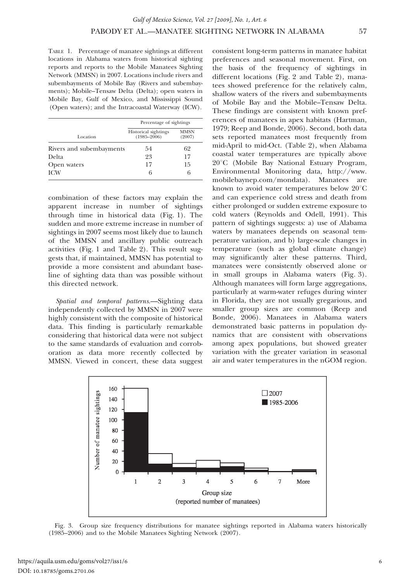TABLE 1. Percentage of manatee sightings at different locations in Alabama waters from historical sighting reports and reports to the Mobile Manatees Sighting Network (MMSN) in 2007. Locations include rivers and subembayments of Mobile Bay (Rivers and subembayments); Mobile–Tensaw Delta (Delta); open waters in Mobile Bay, Gulf of Mexico, and Mississippi Sound (Open waters); and the Intracoastal Waterway (ICW).

|                          | Percentage of sightings                 |                       |  |
|--------------------------|-----------------------------------------|-----------------------|--|
| Location                 | Historical sightings<br>$(1985 - 2006)$ | <b>MMSN</b><br>(2007) |  |
| Rivers and subembayments | 54                                      | 62                    |  |
| Delta                    | 23                                      | 17                    |  |
| Open waters              | 17                                      | 15                    |  |
| <b>ICW</b>               | h                                       | 6                     |  |

combination of these factors may explain the apparent increase in number of sightings through time in historical data (Fig. 1). The sudden and more extreme increase in number of sightings in 2007 seems most likely due to launch of the MMSN and ancillary public outreach activities (Fig. 1 and Table 2). This result suggests that, if maintained, MMSN has potential to provide a more consistent and abundant baseline of sighting data than was possible without this directed network.

Spatial and temporal patterns.—Sighting data independently collected by MMSN in 2007 were highly consistent with the composite of historical data. This finding is particularly remarkable considering that historical data were not subject to the same standards of evaluation and corroboration as data more recently collected by MMSN. Viewed in concert, these data suggest consistent long-term patterns in manatee habitat preferences and seasonal movement. First, on the basis of the frequency of sightings in different locations (Fig. 2 and Table 2), manatees showed preference for the relatively calm, shallow waters of the rivers and subembayments of Mobile Bay and the Mobile–Tensaw Delta. These findings are consistent with known preferences of manatees in apex habitats (Hartman, 1979; Reep and Bonde, 2006). Second, both data sets reported manatees most frequently from mid-April to mid-Oct. (Table 2), when Alabama coastal water temperatures are typically above 20°C (Mobile Bay National Estuary Program, Environmental Monitoring data, http://www. mobilebaynep.com/mondata). Manatees are known to avoid water temperatures below  $20^{\circ}$ C and can experience cold stress and death from either prolonged or sudden extreme exposure to cold waters (Reynolds and Odell, 1991). This pattern of sightings suggests: a) use of Alabama waters by manatees depends on seasonal temperature variation, and b) large-scale changes in temperature (such as global climate change) may significantly alter these patterns. Third, manatees were consistently observed alone or in small groups in Alabama waters (Fig. 3). Although manatees will form large aggregations, particularly at warm-water refuges during winter in Florida, they are not usually gregarious, and smaller group sizes are common (Reep and Bonde, 2006). Manatees in Alabama waters demonstrated basic patterns in population dynamics that are consistent with observations among apex populations, but showed greater variation with the greater variation in seasonal air and water temperatures in the nGOM region.



Fig. 3. Group size frequency distributions for manatee sightings reported in Alabama waters historically (1985–2006) and to the Mobile Manatees Sighting Network (2007).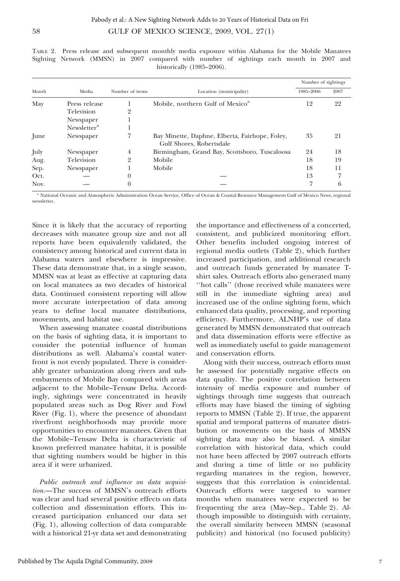| Month | Media                   | Number of items | Location (municipality)                                                    | Number of sightings |      |
|-------|-------------------------|-----------------|----------------------------------------------------------------------------|---------------------|------|
|       |                         |                 |                                                                            | 1985-2006           | 2007 |
| May   | Press release           |                 | Mobile, northern Gulf of Mexico <sup>a</sup>                               | 12                  | 22   |
|       | Television              | 2               |                                                                            |                     |      |
|       | Newspaper               |                 |                                                                            |                     |      |
|       | Newsletter <sup>a</sup> |                 |                                                                            |                     |      |
| June  | Newspaper               |                 | Bay Minette, Daphne, Elberta, Fairhope, Foley,<br>Gulf Shores, Robertsdale | 35                  | 21   |
| July  | Newspaper               | 4               | Birmingham, Grand Bay, Scottsboro, Tuscaloosa                              | 24                  | 18   |
| Aug.  | Television              | 2               | Mobile                                                                     | 18                  | 19   |
| Sep.  | Newspaper               |                 | Mobile                                                                     | 18                  | 11   |
| Oct.  |                         | $\Omega$        |                                                                            | 13                  | 7    |
| Nov.  |                         |                 |                                                                            | ד                   | 6    |

TABLE 2. Press release and subsequent monthly media exposure within Alabama for the Mobile Manatees Sighting Network (MMSN) in 2007 compared with number of sightings each month in 2007 and historically (1985–2006).

<sup>a</sup> National Oceanic and Atmospheric Administration Ocean Service, Office of Ocean & Coastal Resource Management Gulf of Mexico News, regional newsletter.

Since it is likely that the accuracy of reporting decreases with manatee group size and not all reports have been equivalently validated, the consistency among historical and current data in Alabama waters and elsewhere is impressive. These data demonstrate that, in a single season, MMSN was at least as effective at capturing data on local manatees as two decades of historical data. Continued consistent reporting will allow more accurate interpretation of data among years to define local manatee distributions, movements, and habitat use.

When assessing manatee coastal distributions on the basis of sighting data, it is important to consider the potential influence of human distributions as well. Alabama's coastal waterfront is not evenly populated. There is considerably greater urbanization along rivers and subembayments of Mobile Bay compared with areas adjacent to the Mobile–Tensaw Delta. Accordingly, sightings were concentrated in heavily populated areas such as Dog River and Fowl River (Fig. 1), where the presence of abundant riverfront neighborhoods may provide more opportunities to encounter manatees. Given that the Mobile–Tensaw Delta is characteristic of known preferred manatee habitat, it is possible that sighting numbers would be higher in this area if it were urbanized.

Public outreach and influence on data acquisition.—The success of MMSN's outreach efforts was clear and had several positive effects on data collection and dissemination efforts. This increased participation enhanced our data set (Fig. 1), allowing collection of data comparable with a historical 21-yr data set and demonstrating

the importance and effectiveness of a concerted, consistent, and publicized monitoring effort. Other benefits included ongoing interest of regional media outlets (Table 2), which further increased participation, and additional research and outreach funds generated by manatee Tshirt sales. Outreach efforts also generated many ''hot calls'' (those received while manatees were still in the immediate sighting area) and increased use of the online sighting form, which enhanced data quality, processing, and reporting efficiency. Furthermore, ALNHP's use of data generated by MMSN demonstrated that outreach and data dissemination efforts were effective as well as immediately useful to guide management and conservation efforts.

Along with their success, outreach efforts must be assessed for potentially negative effects on data quality. The positive correlation between intensity of media exposure and number of sightings through time suggests that outreach efforts may have biased the timing of sighting reports to MMSN (Table 2). If true, the apparent spatial and temporal patterns of manatee distribution or movements on the basis of MMSN sighting data may also be biased. A similar correlation with historical data, which could not have been affected by 2007 outreach efforts and during a time of little or no publicity regarding manatees in the region, however, suggests that this correlation is coincidental. Outreach efforts were targeted to warmer months when manatees were expected to be frequenting the area (May–Sep., Table 2). Although impossible to distinguish with certainty, the overall similarity between MMSN (seasonal publicity) and historical (no focused publicity)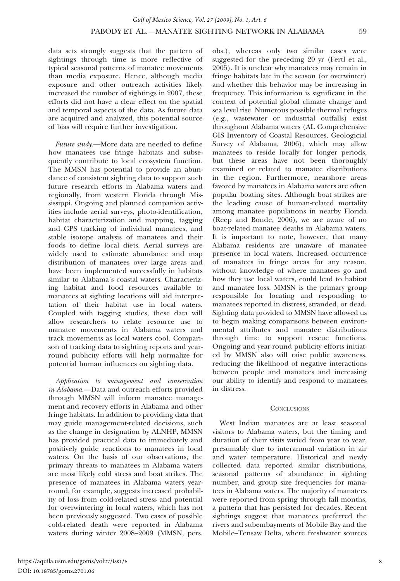*Gulf of Mexico Science, Vol. 27 [2009], No. 1, Art. 6*

data sets strongly suggests that the pattern of sightings through time is more reflective of typical seasonal patterns of manatee movements than media exposure. Hence, although media exposure and other outreach activities likely increased the number of sightings in 2007, these efforts did not have a clear effect on the spatial and temporal aspects of the data. As future data are acquired and analyzed, this potential source of bias will require further investigation.

Future study.—More data are needed to define how manatees use fringe habitats and subsequently contribute to local ecosystem function. The MMSN has potential to provide an abundance of consistent sighting data to support such future research efforts in Alabama waters and regionally, from western Florida through Mississippi. Ongoing and planned companion activities include aerial surveys, photo-identification, habitat characterization and mapping, tagging and GPS tracking of individual manatees, and stable isotope analysis of manatees and their foods to define local diets. Aerial surveys are widely used to estimate abundance and map distribution of manatees over large areas and have been implemented successfully in habitats similar to Alabama's coastal waters. Characterizing habitat and food resources available to manatees at sighting locations will aid interpretation of their habitat use in local waters. Coupled with tagging studies, these data will allow researchers to relate resource use to manatee movements in Alabama waters and track movements as local waters cool. Comparison of tracking data to sighting reports and yearround publicity efforts will help normalize for potential human influences on sighting data.

Application to management and conservation in Alabama.—Data and outreach efforts provided through MMSN will inform manatee management and recovery efforts in Alabama and other fringe habitats. In addition to providing data that may guide management-related decisions, such as the change in designation by ALNHP, MMSN has provided practical data to immediately and positively guide reactions to manatees in local waters. On the basis of our observations, the primary threats to manatees in Alabama waters are most likely cold stress and boat strikes. The presence of manatees in Alabama waters yearround, for example, suggests increased probability of loss from cold-related stress and potential for overwintering in local waters, which has not been previously suggested. Two cases of possible cold-related death were reported in Alabama waters during winter 2008–2009 (MMSN, pers. obs.), whereas only two similar cases were suggested for the preceding 20 yr (Fertl et al., 2005). It is unclear why manatees may remain in fringe habitats late in the season (or overwinter) and whether this behavior may be increasing in frequency. This information is significant in the context of potential global climate change and sea level rise. Numerous possible thermal refuges (e.g., wastewater or industrial outfalls) exist throughout Alabama waters (AL Comprehensive GIS Inventory of Coastal Resources, Geologicial Survey of Alabama, 2006), which may allow manatees to reside locally for longer periods, but these areas have not been thoroughly examined or related to manatee distributions in the region. Furthermore, nearshore areas favored by manatees in Alabama waters are often popular boating sites. Although boat strikes are the leading cause of human-related mortality among manatee populations in nearby Florida (Reep and Bonde, 2006), we are aware of no boat-related manatee deaths in Alabama waters. It is important to note, however, that many Alabama residents are unaware of manatee presence in local waters. Increased occurrence of manatees in fringe areas for any reason, without knowledge of where manatees go and how they use local waters, could lead to habitat and manatee loss. MMSN is the primary group responsible for locating and responding to manatees reported in distress, stranded, or dead. Sighting data provided to MMSN have allowed us to begin making comparisons between environmental attributes and manatee distributions through time to support rescue functions. Ongoing and year-round publicity efforts initiated by MMSN also will raise public awareness, reducing the likelihood of negative interactions between people and manatees and increasing our ability to identify and respond to manatees in distress.

#### **CONCLUSIONS**

West Indian manatees are at least seasonal visitors to Alabama waters, but the timing and duration of their visits varied from year to year, presumably due to interannual variation in air and water temperature. Historical and newly collected data reported similar distributions, seasonal patterns of abundance in sighting number, and group size frequencies for manatees in Alabama waters. The majority of manatees were reported from spring through fall months, a pattern that has persisted for decades. Recent sightings suggest that manatees preferred the rivers and subembayments of Mobile Bay and the Mobile–Tensaw Delta, where freshwater sources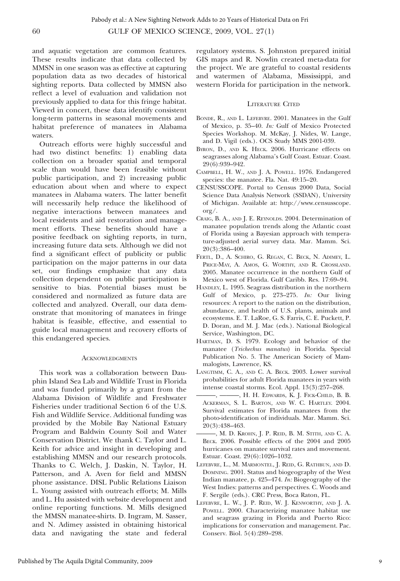and aquatic vegetation are common features. These results indicate that data collected by MMSN in one season was as effective at capturing population data as two decades of historical sighting reports. Data collected by MMSN also reflect a level of evaluation and validation not previously applied to data for this fringe habitat. Viewed in concert, these data identify consistent long-term patterns in seasonal movements and habitat preference of manatees in Alabama waters.

Outreach efforts were highly successful and had two distinct benefits: 1) enabling data collection on a broader spatial and temporal scale than would have been feasible without public participation, and 2) increasing public education about when and where to expect manatees in Alabama waters. The latter benefit will necessarily help reduce the likelihood of negative interactions between manatees and local residents and aid restoration and management efforts. These benefits should have a positive feedback on sighting reports, in turn, increasing future data sets. Although we did not find a significant effect of publicity or public participation on the major patterns in our data set, our findings emphasize that any data collection dependent on public participation is sensitive to bias. Potential biases must be considered and normalized as future data are collected and analyzed. Overall, our data demonstrate that monitoring of manatees in fringe habitat is feasible, effective, and essential to guide local management and recovery efforts of this endangered species.

#### **ACKNOWLEDGMENTS**

This work was a collaboration between Dauphin Island Sea Lab and Wildlife Trust in Florida and was funded primarily by a grant from the Alabama Division of Wildlife and Freshwater Fisheries under traditional Section 6 of the U.S. Fish and Wildlife Service. Additional funding was provided by the Mobile Bay National Estuary Program and Baldwin County Soil and Water Conservation District. We thank C. Taylor and L. Keith for advice and insight in developing and establishing MMSN and our research protocols. Thanks to C. Welch, J. Daskin, N. Taylor, H. Patterson, and A. Aven for field and MMSN phone assistance. DISL Public Relations Liaison L. Young assisted with outreach efforts; M. Mills and L. Hu assisted with website development and online reporting functions. M. Mills designed the MMSN manatee-shirts. D. Ingram, M. Sasser, and N. Adimey assisted in obtaining historical data and navigating the state and federal regulatory systems. S. Johnston prepared initial GIS maps and R. Nowlin created meta-data for the project. We are grateful to coastal residents and watermen of Alabama, Mississippi, and western Florida for participation in the network.

#### LITERATURE CITED

- BONDE, R., AND L. LEFEBVRE. 2001. Manatees in the Gulf of Mexico, p. 35–40. In: Gulf of Mexico Protected Species Workshop. M. McKay, J. Nides, W. Lange, and D. Vigil (eds.). OCS Study MMS 2001-039.
- BYRON, D., AND K. HECK. 2006. Hurricane effects on seagrasses along Alabama's Gulf Coast. Estuar. Coast. 29(6):939–942.
- CAMPBELL, H. W., AND J. A. POWELL. 1976. Endangered species: the manatee. Fla. Nat. 49:15–20.
- CENSUSSCOPE. Portal to Census 2000 Data, Social Science Data Analysis Network (SSDAN), University of Michigan. Available at: http://www.censusscope. org/.
- CRAIG, B. A., AND J. E. REYNOLDS. 2004. Determination of manatee population trends along the Atlantic coast of Florida using a Bayesian approach with temperature-adjusted aerial survey data. Mar. Mamm. Sci. 20(3):386–400.
- FERTL, D., A. SCHIRO, G. REGAN, C. BECK, N. ADIMEY, L. PRICE-MAY, A. AMOS, G. WORTHY, AND R. CROSSLAND. 2005. Manatee occurrence in the northern Gulf of Mexico west of Florida. Gulf Caribb. Res. 17:69–94.
- HANDLEY, L. 1995. Seagrass distribution in the northern Gulf of Mexico, p. 273–275. In: Our living resources: A report to the nation on the distribution, abundance, and health of U.S. plants, animals and ecosystems. E. T. LaRoe, G. S. Farris, C. E. Puckett, P. D. Doran, and M. J. Mac (eds.). National Biological Service, Washington, DC.
- HARTMAN, D. S. 1979. Ecology and behavior of the manatee (Trichechus manatus) in Florida. Special Publication No. 5. The American Society of Mammalogists, Lawrence, KS.
- LANGTIMM, C. A., AND C. A. BECK. 2003. Lower survival probabilities for adult Florida manatees in years with intense coastal storms. Ecol. Appl. 13(3):257–268.
- -, H. H. EDWARDS, K. J. FICK-CHILD, B. B. ACKERMAN, S. L. BARTON, AND W. C. HARTLEY. 2004. Survival estimates for Florida manatees from the photo-identification of individuals. Mar. Mamm. Sci. 20(3):438–463.
- ———, M. D. KROHN, J. P. REID, B. M. STITH, AND C. A. BECK. 2006. Possible effects of the 2004 and 2005 hurricanes on manatee survival rates and movement. Estuar. Coast. 29(6):1026–1032.
- LEFEBVRE, L., M. MARMONTEL, J. REID, G. RATHBUN, AND D. DOMNING. 2001. Status and biogeography of the West Indian manatee, p. 425–474. In: Biogeography of the West Indies: patterns and perspectives. C. Woods and F. Sergile (eds.). CRC Press, Boca Raton, FL.
- LEFEBVRE, L. W., J. P. REID, W. J. KENWORTHY, AND J. A. POWELL. 2000. Characterizing manatee habitat use and seagrass grazing in Florida and Puerto Rico: implications for conservation and management. Pac. Conserv. Biol. 5(4):289–298.